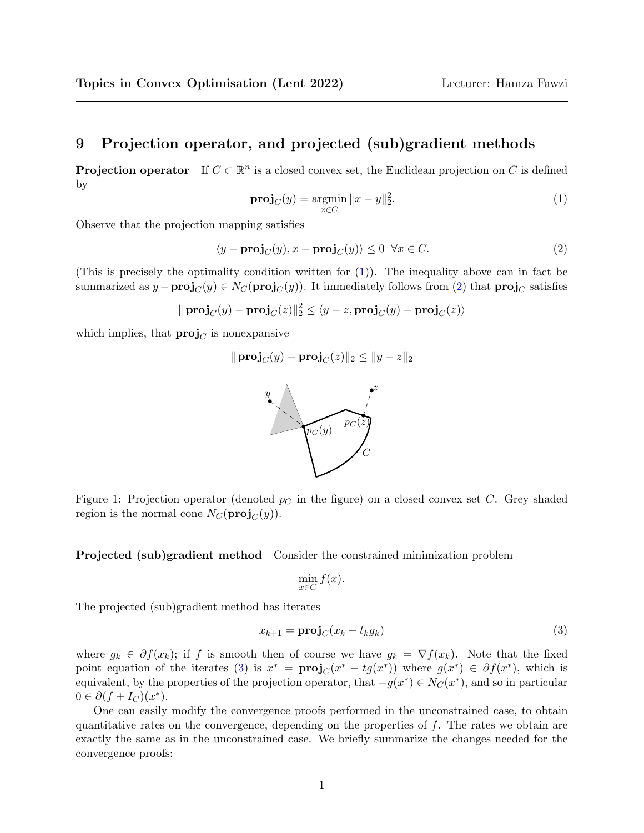## 9 Projection operator, and projected (sub)gradient methods

**Projection operator** If  $C \subset \mathbb{R}^n$  is a closed convex set, the Euclidean projection on C is defined by

<span id="page-0-0"></span>
$$
\mathbf{proj}_C(y) = \underset{x \in C}{\text{argmin}} \|x - y\|_2^2. \tag{1}
$$

Observe that the projection mapping satisfies

<span id="page-0-1"></span>
$$
\langle y - \mathbf{proj}_C(y), x - \mathbf{proj}_C(y) \rangle \le 0 \quad \forall x \in C. \tag{2}
$$

(This is precisely the optimality condition written for  $(1)$ ). The inequality above can in fact be summarized as  $y - \text{proj}_C(y) \in N_C(\text{proj}_C(y))$ . It immediately follows from [\(2\)](#page-0-1) that  $\text{proj}_C$  satisfies

$$
\|\operatorname{proj}_C(y) - \operatorname{proj}_C(z)\|_2^2 \le \langle y - z, \operatorname{proj}_C(y) - \operatorname{proj}_C(z)\rangle
$$

which implies, that  $\text{proj}_{C}$  is nonexpansive

$$
\|\operatorname{proj}_C(y) - \operatorname{proj}_C(z)\|_2 \le \|y - z\|_2
$$



Figure 1: Projection operator (denoted  $p<sub>C</sub>$  in the figure) on a closed convex set C. Grey shaded region is the normal cone  $N_C(\text{proj}_C(y))$ .

Projected (sub)gradient method Consider the constrained minimization problem

$$
\min_{x \in C} f(x).
$$

The projected (sub)gradient method has iterates

<span id="page-0-2"></span>
$$
x_{k+1} = \mathbf{proj}_C(x_k - t_k g_k) \tag{3}
$$

where  $g_k \in \partial f(x_k)$ ; if f is smooth then of course we have  $g_k = \nabla f(x_k)$ . Note that the fixed point equation of the iterates [\(3\)](#page-0-2) is  $x^* = \text{proj}_C(x^* - tg(x^*))$  where  $g(x^*) \in \partial f(x^*)$ , which is equivalent, by the properties of the projection operator, that  $-g(x^*) \in N_C(x^*)$ , and so in particular  $0 \in \partial (f + I_C)(x^*).$ 

One can easily modify the convergence proofs performed in the unconstrained case, to obtain quantitative rates on the convergence, depending on the properties of  $f$ . The rates we obtain are exactly the same as in the unconstrained case. We briefly summarize the changes needed for the convergence proofs: